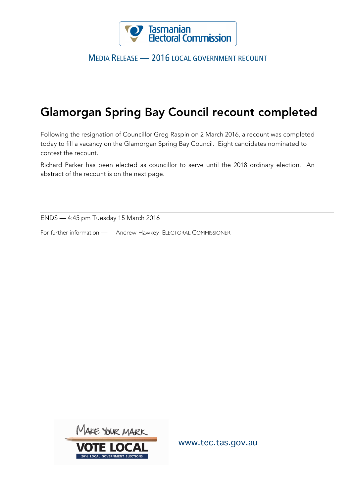

## MEDIA RELEASE — 2016 LOCAL GOVERNMENT RECOUNT

## Glamorgan Spring Bay Council recount completed

Following the resignation of Councillor Greg Raspin on 2 March 2016, a recount was completed today to fill a vacancy on the Glamorgan Spring Bay Council. Eight candidates nominated to contest the recount.

Richard Parker has been elected as councillor to serve until the 2018 ordinary election. An abstract of the recount is on the next page.

ENDS — 4:45 pm Tuesday 15 March 2016

For further information — Andrew Hawkey ELECTORAL COMMISSIONER



www.tec.tas.gov.au